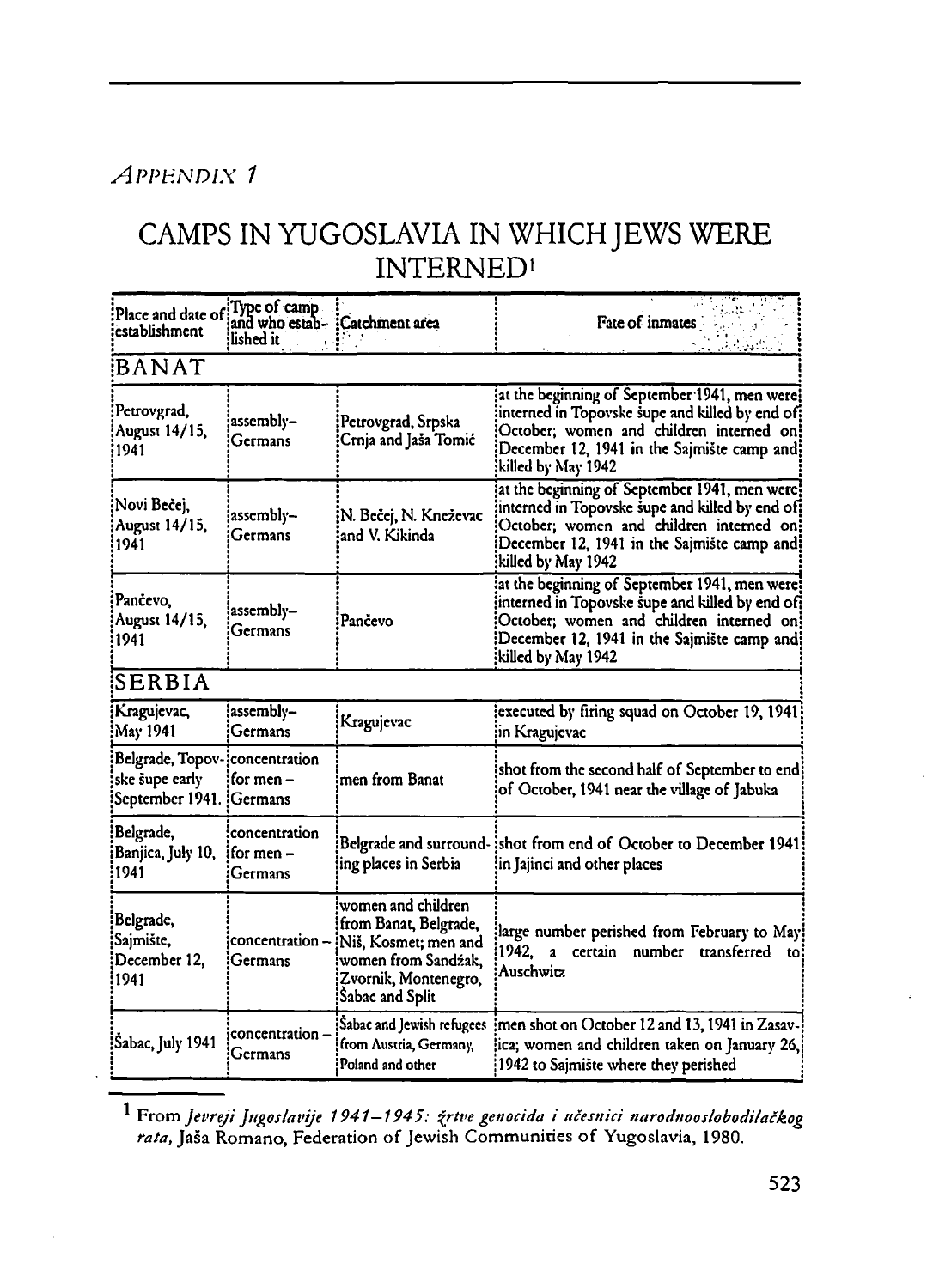## *APPENDIX <sup>1</sup>*

## CAMPS IN YUGOSLAVIA IN WHICHJEWS WERE INTERNED'

| Place and date of<br>establishment                                          | Type of camp<br>and who estab- : Catchment area<br>lished it |                                                                                                                                       | Fate of inmates                                                                                                                                                                                                    |  |  |  |
|-----------------------------------------------------------------------------|--------------------------------------------------------------|---------------------------------------------------------------------------------------------------------------------------------------|--------------------------------------------------------------------------------------------------------------------------------------------------------------------------------------------------------------------|--|--|--|
| BANAT                                                                       |                                                              |                                                                                                                                       |                                                                                                                                                                                                                    |  |  |  |
| Petrovgrad,<br>August 14/15,<br>1941                                        | assembly-<br>Germans                                         | Petrovgrad, Srpska<br>Crnja and Jaša Tomić                                                                                            | at the beginning of September 1941, men were!<br>interned in Topovske supe and killed by end of:<br>October; women and children interned on!<br>December 12, 1941 in the Sajmište camp and!<br>killed by May 1942; |  |  |  |
| Novi Bečej,<br>August 14/15,<br>1941                                        | assembly-<br>Germans                                         | N. Bečej, N. Kneževac<br>and V. Kikinda                                                                                               | at the beginning of September 1941, men were!<br>interned in Topovske šupe and killed by end of!<br>October; women and children interned on;<br>December 12, 1941 in the Sajmište camp and:<br>killed by May 1942) |  |  |  |
| Pančevo,<br><b>August 14/15,</b><br>1941                                    | assembly-<br>Germans                                         | Pančevo                                                                                                                               | at the beginning of September 1941, men were!<br>interned in Topovske supe and killed by end of:<br>October; women and children interned on!<br>December 12, 1941 in the Sajmište camp and:<br>killed by May 1942; |  |  |  |
| SERBIA                                                                      |                                                              |                                                                                                                                       |                                                                                                                                                                                                                    |  |  |  |
| Kragujevac,<br>May 1941)                                                    | assembly-<br>Germans                                         | Kragujevac                                                                                                                            | executed by firing squad on October 19, 1941<br>in Kragujevac                                                                                                                                                      |  |  |  |
| Belgrade, Topov-¦concentration<br>ske šupe early<br>September 1941. Germans | for men –                                                    | men from Banat                                                                                                                        | shot from the second half of September to end:<br>of October, 1941 near the village of Jabuka                                                                                                                      |  |  |  |
| Belgrade,<br>Banjica, July 10,<br>1941:                                     | concentration<br>for men $-$<br>Germans                      | ing places in Serbia                                                                                                                  | Belgrade and surround-: shot from end of October to December 1941<br>in Jajinci and other places                                                                                                                   |  |  |  |
| Belgrade,<br>Sajmište,<br>December 12.<br>1941:                             | concentration-<br>Germans                                    | women and children<br>from Banat, Belgrade,<br>Niš, Kosmet; men and<br>women from Sandžak.<br>Zvornik, Montenegro,<br>Sabac and Split | large number perished from February to May!<br>1942.<br>certain number<br>$\mathbf{a}$<br>transferred<br>to<br><b>Auschwitz</b>                                                                                    |  |  |  |
| Sabac, July 1941                                                            | concentration -<br>Germans                                   | Sabac and Jewish refugees<br>from Austria, Germany,<br>Poland and other                                                               | men shot on October 12 and 13, 1941 in Zasav-<br>ica; women and children taken on January 26,<br>1942 to Sajmište where they perished                                                                              |  |  |  |

<span id="page-0-0"></span><sup>1</sup> From *Jevreji Jngoslavije 1941—1945: frtve genocide i učesttici narodnooslobodilačkog* rata, Jaša Romano, Federation of Jewish Communities of Yugoslavia, 1980.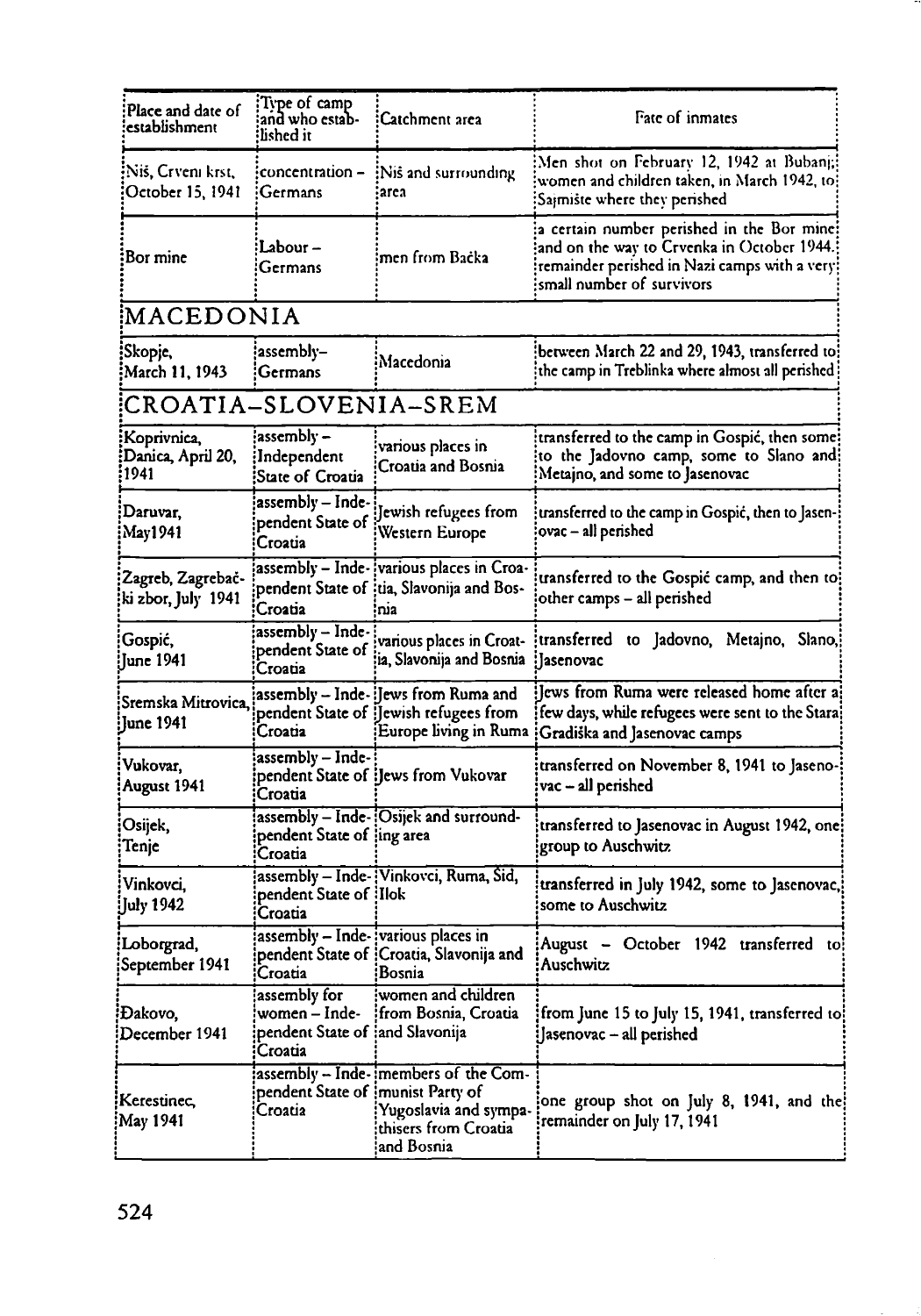| Place and date of<br>establishment       | Type of camp<br>and who estab-<br>lished it                                 | :Catchment area                                                                                         | Fate of inmates                                                                                                                                                        |  |  |  |  |
|------------------------------------------|-----------------------------------------------------------------------------|---------------------------------------------------------------------------------------------------------|------------------------------------------------------------------------------------------------------------------------------------------------------------------------|--|--|--|--|
| Niš, Crveni krst,<br>October 15, 1941    | concentration –<br>Germans                                                  | Nis and surrounding<br>iarca                                                                            | Men shot on February 12, 1942 at Bubanj;<br>women and children taken, in March 1942, to:<br>Saimiste where they perished                                               |  |  |  |  |
| Bor mine                                 | Labour –<br>Germans                                                         | men from Bačka                                                                                          | a certain number perished in the Bor mine:<br>and on the way to Crvenka in October 1944.<br>remainder perished in Nazi camps with a very!<br>small number of survivors |  |  |  |  |
|                                          | MACEDONIA                                                                   |                                                                                                         |                                                                                                                                                                        |  |  |  |  |
| Skopje,<br>March 11, 1943                | assembly-<br>Germans                                                        | Macedonia                                                                                               | between March 22 and 29, 1943, transferred to:<br>the camp in Treblinka where almost all perished                                                                      |  |  |  |  |
| CROATIA-SLOVENIA-SREM                    |                                                                             |                                                                                                         |                                                                                                                                                                        |  |  |  |  |
| Koprivnica,<br>Danica, April 20,<br>1941 | assembly –<br>Independent!<br>State of Croatia                              | various places in<br>Croatia and Bosnia                                                                 | transferred to the camp in Gospić, then some!<br>to the Jadovno camp, some to Slano and<br>Metajno, and some to Jasenovac                                              |  |  |  |  |
| Daruvar,<br>May1941                      | assembly - Inde-<br>pendent State of<br>Croatia                             | Jewish refugees from<br>Western Europe                                                                  | transferred to the camp in Gospić, then to Jasen-<br>ovac - all perished                                                                                               |  |  |  |  |
| Zagreb, Zagrebač-<br>ki zbor, July 1941  | Croatia                                                                     | assembly - Inde- various places in Croa-<br>pendent State of Itia, Slavonija and Bos-<br>nia            | transferred to the Gospić camp, and then to:<br>other camps - all perished                                                                                             |  |  |  |  |
| Gospić,<br>June 1941                     | assembly - Inde-<br>pendent State of<br>Croatia                             | various places in Croat-<br>ia, Slavonija and Bosnia                                                    | transferred<br>to Jadovno, Metajno, Slano,<br>:Jasenovac                                                                                                               |  |  |  |  |
| Sremska Mitrovica.<br>June 1941          | Croatia                                                                     | assembly – Inde- :Jews from Ruma and<br>pendent State of [Jewish refugees from<br>Europe living in Ruma | Jews from Ruma were released home after a<br>few days, while refugees were sent to the Stara!<br>Gradiška and Jasenovac camps                                          |  |  |  |  |
| Vukovar,<br>August 1941                  | assembly - Inde-<br>Croatia                                                 | pendent State of : Jews from Vukovar                                                                    | transferred on November 8, 1941 to Jaseno-<br>vac – all perished                                                                                                       |  |  |  |  |
| Osijek,<br>Tenje                         | pendent State of ling area<br>Croatia                                       | assembly - Inde-[Osijek and surround-                                                                   | transferred to Jasenovac in August 1942, one:<br>group to Auschwitz                                                                                                    |  |  |  |  |
| Vinkovci,<br>July 1942                   | pendent State of Ilok<br>Croatia                                            | assembly - Inde- Vinkovci, Ruma, Sid,                                                                   | transferred in July 1942, some to Jasenovac,<br>some to Auschwitz                                                                                                      |  |  |  |  |
| Loborgrad,<br>September 1941             | assembly – Inde- various places in<br>Croatia                               | pendent State of {Croatia, Slavonija and<br>Bosnia                                                      | August - October 1942 transferred to!<br><b>Auschwitz</b>                                                                                                              |  |  |  |  |
| Đakovo,<br>December 1941                 | assembly for<br>women - Inde-<br>pendent State of ¦and Slavonija<br>Croatia | women and children<br>from Bosnia, Croatia                                                              | from June 15 to July 15, 1941, transferred to!<br>Jasenovac - all perished                                                                                             |  |  |  |  |
| Kerestinec,<br>May 1941                  | pendent State of munist Party of<br>Croatia                                 | assembly - Inde- members of the Com-<br>Yugoslavia and sympa-<br>thisers from Croatia<br>and Bosnia     | one group shot on July 8, 1941, and the<br>remainder on July 17, 1941                                                                                                  |  |  |  |  |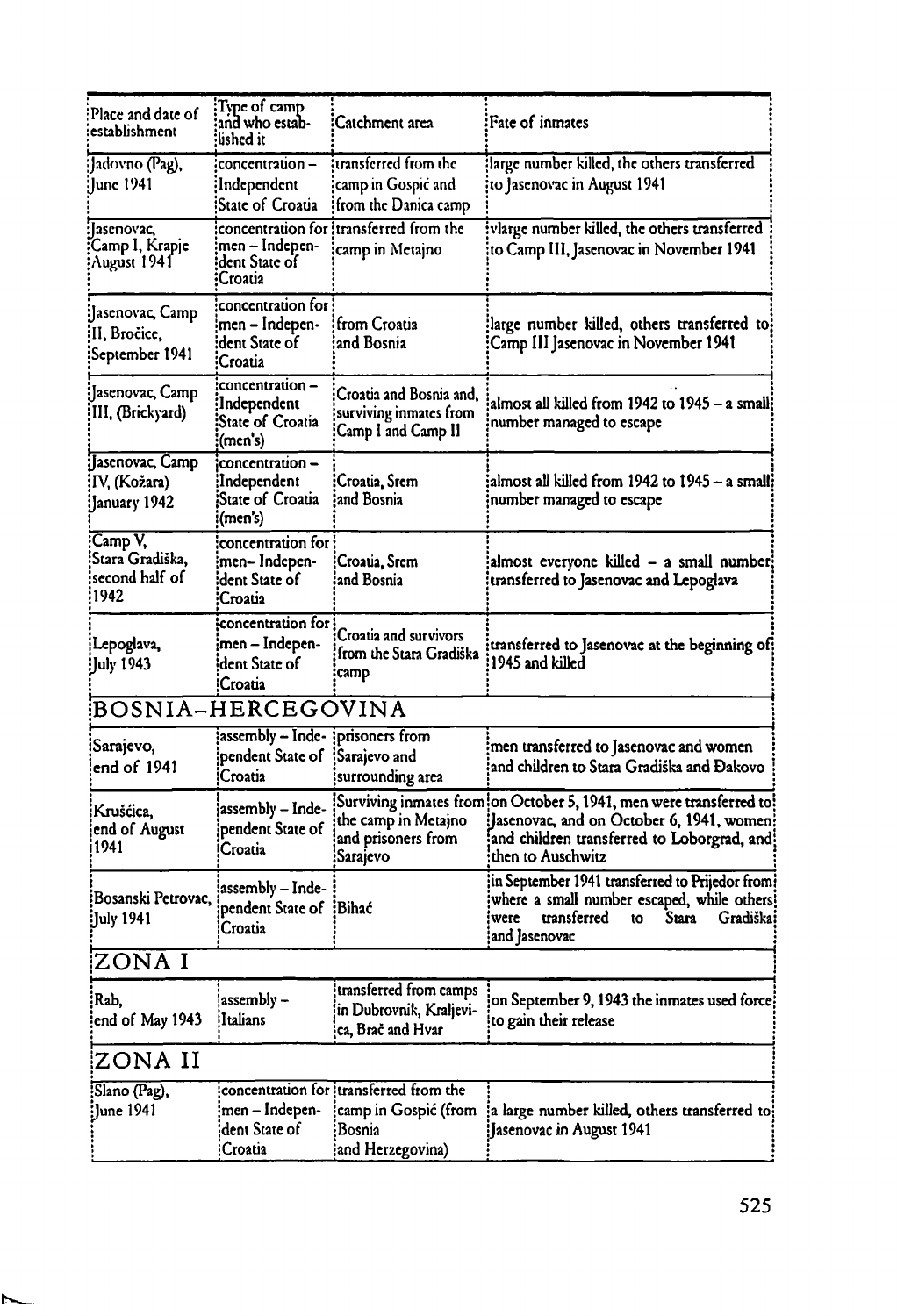| Place and date of<br>establishment                    | Type of camp!<br>and who estab-<br>:lished it                                        | Catchment area                                                                                | Fate of inmates                                                                                                                                                                      |
|-------------------------------------------------------|--------------------------------------------------------------------------------------|-----------------------------------------------------------------------------------------------|--------------------------------------------------------------------------------------------------------------------------------------------------------------------------------------|
| Jadovno (Pag),<br>June 1941                           | concentration-<br>Independent<br>State of Croatia                                    | transferred from the<br>camp in Gospic and<br>from the Danica camp                            | large number killed, the others transferred<br>to Jasenovac in August 1941                                                                                                           |
| asenovac,<br>Camp I, Krapje<br>August 1941            | men – Indepen-<br>dent State of<br>Croatia                                           | concentration for itransferred from the<br>camp in Metajno                                    | vlarge number killed, the others transferred<br>to Camp III, Jasenovac in November 1941                                                                                              |
| :Jasenovac, Camp<br>II, Bročice,<br>September 1941:   | concentration for<br>men - Indepen-<br>dent State of<br>Croatia                      | from Croatia<br>and Bosnia                                                                    | large number killed, others transferred to!<br>Camp III Jasenovac in November 1941                                                                                                   |
| :Jasenovac, Camp<br>III, (Brickyard)                  | concentration –<br>Independent<br>State of Croatia<br>(men's)                        | Croatia and Bosnia and,<br>surviving inmates from<br>Camp I and Camp II                       | almost all killed from 1942 to 1945 - a small!<br>number managed to escape                                                                                                           |
| :Jasenovac, Camp<br>¦IV, (Kožara)<br>January 1942)    | concentration -<br>Independent<br>State of Croatia<br>(men's)                        | :Croatia, Srem<br>and Bosnia                                                                  | almost all killed from 1942 to 1945 – a small!<br>number managed to escape                                                                                                           |
| Camp V,<br>Stara Gradiška.<br>second half of:<br>1942 | concentration for<br>men- Indepen-<br>dent State of<br>Croatia                       | Croatia, Srem<br>and Bosnia                                                                   | almost everyone killed - a small number;<br>transferred to Jasenovac and Lepoglava                                                                                                   |
| Lepoglava,<br>Uuly 1943;                              | concentration for<br>men – Indepen-<br>dent State of<br>Croatia                      | Croatia and survivors<br>from the Stara Gradiška<br>camp                                      | transferred to Jasenovac at the beginning of:<br>1945 and killed                                                                                                                     |
| BOSNIA-HERCEGOVINA                                    |                                                                                      |                                                                                               |                                                                                                                                                                                      |
| Sarajevo,<br>end of 1941                              | $\overline{\text{assembly}} - \overline{\text{Inde}}$<br>pendent State of<br>Croatia | prisoners from<br>Sarajevo and<br>surrounding area                                            | men transferred to Jasenovac and women<br>and children to Stara Gradiška and Đakovo                                                                                                  |
| :Krušćica,<br>end of August)<br>i1941                 | assembly - Inde-<br>pendent State of<br>Croatia                                      | the camp in Metajno<br>and prisoners from<br>:Sarajevo                                        | Surviving inmates from on October 5, 1941, men were transferred to !<br>Jasenovac, and on October 6, 1941, women:<br>and children transferred to Loborgrad, and<br>then to Auschwitz |
| Bosanski Petrovac,<br>Iuly 1941 <del>:</del>          | assembly – Inde-<br>pendent State of IBihać<br>Croatia                               |                                                                                               | in September 1941 transferred to Prijedor from:<br>where a small number escaped, while others<br>transferred<br>Gradiška<br>Stara<br>were<br>to<br>and Jasenovac                     |
| ZONA I                                                |                                                                                      |                                                                                               |                                                                                                                                                                                      |
| Rab.<br>end of May 1943                               | $assembly -$<br>Italians                                                             | transferred from camps<br>in Dubrovnik, Kraljevi-<br>ca, Brač and Hvar                        | on September 9, 1943 the inmates used force!<br>to gain their release                                                                                                                |
| ZONA II                                               |                                                                                      |                                                                                               |                                                                                                                                                                                      |
| Slano (Pag),<br><b>June 1941</b> :                    | men – Indepen-<br>dent State of<br>Croatia                                           | concentration for transferred from the<br>camp in Gospić (from<br>Bosnia:<br>and Herzegovina) | a large number killed, others transferred to:<br>Jasenovac in August 1941                                                                                                            |

N